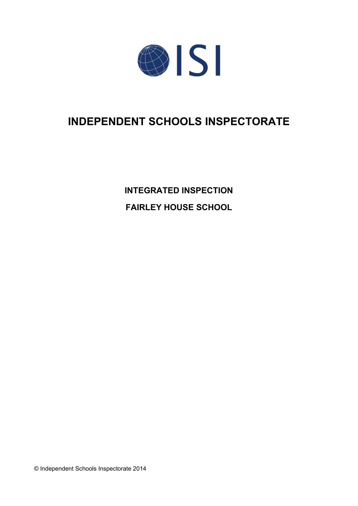

# **INDEPENDENT SCHOOLS INSPECTORATE**

**INTEGRATED INSPECTION FAIRLEY HOUSE SCHOOL**

© Independent Schools Inspectorate 2014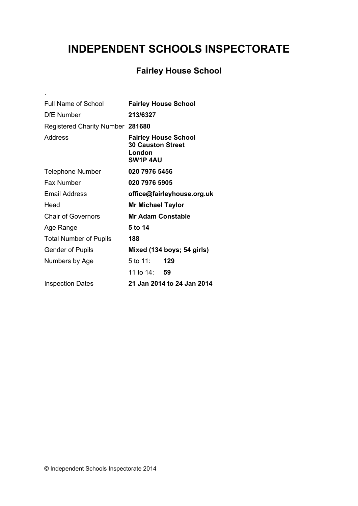# **INDEPENDENT SCHOOLS INSPECTORATE**

# **Fairley House School**

| Full Name of School              | <b>Fairley House School</b>                                                          |
|----------------------------------|--------------------------------------------------------------------------------------|
| <b>DfE</b> Number                | 213/6327                                                                             |
| Registered Charity Number 281680 |                                                                                      |
| Address                          | <b>Fairley House School</b><br><b>30 Causton Street</b><br>London<br><b>SW1P 4AU</b> |
| <b>Telephone Number</b>          | 020 7976 5456                                                                        |
| <b>Fax Number</b>                | 020 7976 5905                                                                        |
| Email Address                    | office@fairleyhouse.org.uk                                                           |
| Head                             | <b>Mr Michael Taylor</b>                                                             |
| <b>Chair of Governors</b>        | <b>Mr Adam Constable</b>                                                             |
| Age Range                        | 5 to 14                                                                              |
| <b>Total Number of Pupils</b>    | 188                                                                                  |
| <b>Gender of Pupils</b>          | Mixed (134 boys; 54 girls)                                                           |
| Numbers by Age                   | 5 to 11:<br>129                                                                      |
|                                  | 11 to 14: 59                                                                         |
| <b>Inspection Dates</b>          | 21 Jan 2014 to 24 Jan 2014                                                           |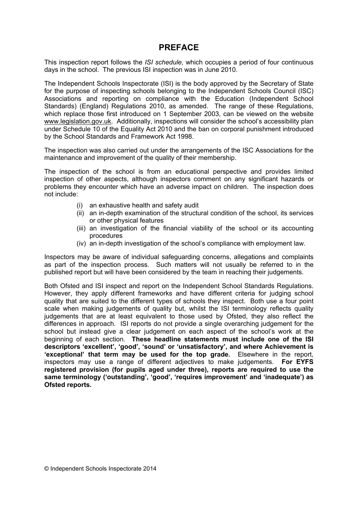## **PREFACE**

This inspection report follows the *ISI schedule,* which occupies a period of four continuous days in the school. The previous ISI inspection was in June 2010.

The Independent Schools Inspectorate (ISI) is the body approved by the Secretary of State for the purpose of inspecting schools belonging to the Independent Schools Council (ISC) Associations and reporting on compliance with the Education (Independent School Standards) (England) Regulations 2010, as amended. The range of these Regulations, which replace those first introduced on 1 September 2003, can be viewed on the website [www.legislation.gov.uk.](http://www.legislation.gov.uk) Additionally, inspections will consider the school's accessibility plan under Schedule 10 of the Equality Act 2010 and the ban on corporal punishment introduced by the School Standards and Framework Act 1998.

The inspection was also carried out under the arrangements of the ISC Associations for the maintenance and improvement of the quality of their membership.

The inspection of the school is from an educational perspective and provides limited inspection of other aspects, although inspectors comment on any significant hazards or problems they encounter which have an adverse impact on children. The inspection does not include:

- (i) an exhaustive health and safety audit
- (ii) an in-depth examination of the structural condition of the school, its services or other physical features
- (iii) an investigation of the financial viability of the school or its accounting procedures
- (iv) an in-depth investigation of the school's compliance with employment law.

Inspectors may be aware of individual safeguarding concerns, allegations and complaints as part of the inspection process. Such matters will not usually be referred to in the published report but will have been considered by the team in reaching their judgements.

Both Ofsted and ISI inspect and report on the Independent School Standards Regulations. However, they apply different frameworks and have different criteria for judging school quality that are suited to the different types of schools they inspect. Both use a four point scale when making judgements of quality but, whilst the ISI terminology reflects quality judgements that are at least equivalent to those used by Ofsted, they also reflect the differences in approach. ISI reports do not provide a single overarching judgement for the school but instead give a clear judgement on each aspect of the school's work at the beginning of each section. **These headline statements must include one of the ISI descriptors 'excellent', 'good', 'sound' or 'unsatisfactory', and where Achievement is 'exceptional' that term may be used for the top grade.** Elsewhere in the report, inspectors may use a range of different adjectives to make judgements. **For EYFS registered provision (for pupils aged under three), reports are required to use the same terminology ('outstanding', 'good', 'requires improvement' and 'inadequate') as Ofsted reports.**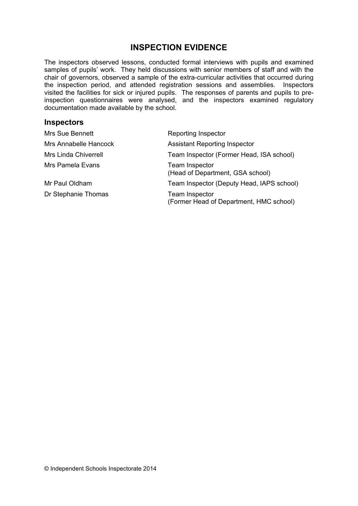# **INSPECTION EVIDENCE**

The inspectors observed lessons, conducted formal interviews with pupils and examined samples of pupils' work. They held discussions with senior members of staff and with the chair of governors, observed a sample of the extra-curricular activities that occurred during the inspection period, and attended registration sessions and assemblies. Inspectors visited the facilities for sick or injured pupils. The responses of parents and pupils to preinspection questionnaires were analysed, and the inspectors examined regulatory documentation made available by the school.

#### **Inspectors**

| Mrs Sue Bennett             | Reporting Inspector                                              |
|-----------------------------|------------------------------------------------------------------|
| Mrs Annabelle Hancock       | <b>Assistant Reporting Inspector</b>                             |
| <b>Mrs Linda Chiverrell</b> | Team Inspector (Former Head, ISA school)                         |
| Mrs Pamela Evans            | Team Inspector<br>(Head of Department, GSA school)               |
| Mr Paul Oldham              | Team Inspector (Deputy Head, IAPS school)                        |
| Dr Stephanie Thomas         | <b>Team Inspector</b><br>(Former Head of Department, HMC school) |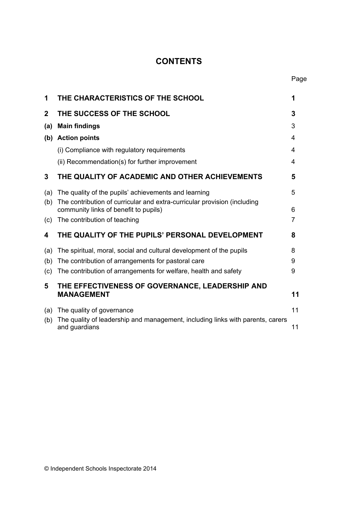# **CONTENTS**

| 1           | THE CHARACTERISTICS OF THE SCHOOL                                                                                 | 1  |
|-------------|-------------------------------------------------------------------------------------------------------------------|----|
| $\mathbf 2$ | THE SUCCESS OF THE SCHOOL                                                                                         | 3  |
| (a)         | <b>Main findings</b>                                                                                              | 3  |
| (b)         | <b>Action points</b>                                                                                              | 4  |
|             | (i) Compliance with regulatory requirements                                                                       | 4  |
|             | (ii) Recommendation(s) for further improvement                                                                    | 4  |
| 3           | THE QUALITY OF ACADEMIC AND OTHER ACHIEVEMENTS                                                                    | 5  |
| (a)         | The quality of the pupils' achievements and learning                                                              | 5  |
| (b)         | The contribution of curricular and extra-curricular provision (including<br>community links of benefit to pupils) | 6  |
| (c)         | The contribution of teaching                                                                                      | 7  |
| 4           | THE QUALITY OF THE PUPILS' PERSONAL DEVELOPMENT                                                                   | 8  |
| (a)         | The spiritual, moral, social and cultural development of the pupils                                               | 8  |
| (b)         | The contribution of arrangements for pastoral care                                                                | 9  |
| (c)         | The contribution of arrangements for welfare, health and safety                                                   | 9  |
| 5           | THE EFFECTIVENESS OF GOVERNANCE, LEADERSHIP AND<br><b>MANAGEMENT</b>                                              | 11 |
|             |                                                                                                                   |    |
| (a)         | The quality of governance<br>The quality of leadership and management, including links with parents, carers       | 11 |
| (b)         | and guardians                                                                                                     | 11 |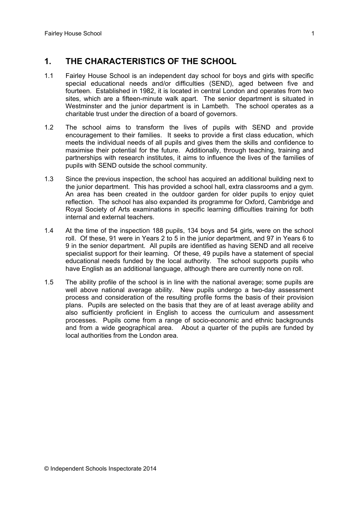# **1. THE CHARACTERISTICS OF THE SCHOOL**

- 1.1 Fairley House School is an independent day school for boys and girls with specific special educational needs and/or difficulties (SEND), aged between five and fourteen. Established in 1982, it is located in central London and operates from two sites, which are a fifteen-minute walk apart. The senior department is situated in Westminster and the junior department is in Lambeth. The school operates as a charitable trust under the direction of a board of governors.
- 1.2 The school aims to transform the lives of pupils with SEND and provide encouragement to their families. It seeks to provide a first class education, which meets the individual needs of all pupils and gives them the skills and confidence to maximise their potential for the future. Additionally, through teaching, training and partnerships with research institutes, it aims to influence the lives of the families of pupils with SEND outside the school community.
- 1.3 Since the previous inspection, the school has acquired an additional building next to the junior department. This has provided a school hall, extra classrooms and a gym. An area has been created in the outdoor garden for older pupils to enjoy quiet reflection. The school has also expanded its programme for Oxford, Cambridge and Royal Society of Arts examinations in specific learning difficulties training for both internal and external teachers.
- 1.4 At the time of the inspection 188 pupils, 134 boys and 54 girls, were on the school roll. Of these, 91 were in Years 2 to 5 in the junior department, and 97 in Years 6 to 9 in the senior department. All pupils are identified as having SEND and all receive specialist support for their learning. Of these, 49 pupils have a statement of special educational needs funded by the local authority. The school supports pupils who have English as an additional language, although there are currently none on roll.
- 1.5 The ability profile of the school is in line with the national average; some pupils are well above national average ability. New pupils undergo a two-day assessment process and consideration of the resulting profile forms the basis of their provision plans. Pupils are selected on the basis that they are of at least average ability and also sufficiently proficient in English to access the curriculum and assessment processes. Pupils come from a range of socio-economic and ethnic backgrounds and from a wide geographical area. About a quarter of the pupils are funded by local authorities from the London area.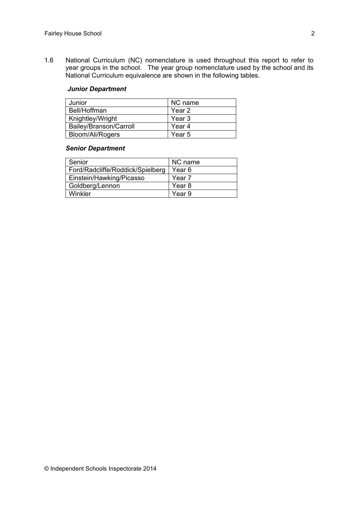1.6 National Curriculum (NC) nomenclature is used throughout this report to refer to year groups in the school. The year group nomenclature used by the school and its National Curriculum equivalence are shown in the following tables.

#### *Junior Department*

| Junior                 | NC name           |
|------------------------|-------------------|
| Bell/Hoffman           | Year 2            |
| Knightley/Wright       | Year 3            |
| Bailey/Branson/Carroll | Year <sub>4</sub> |
| Bloom/Ali/Rogers       | Year 5            |

#### *Senior Department*

| Senior                           | NC name           |
|----------------------------------|-------------------|
| Ford/Radcliffe/Roddick/Spielberg | Year 6            |
| Einstein/Hawking/Picasso         | Year <sub>7</sub> |
| Goldberg/Lennon                  | Year 8            |
| Winkler                          | Year 9            |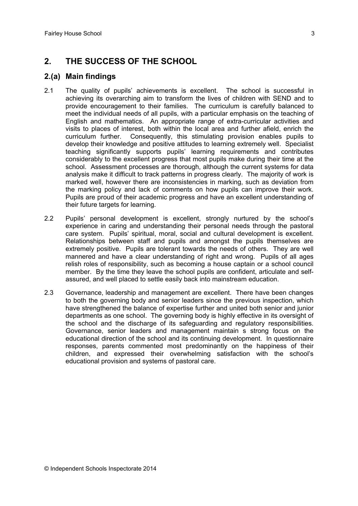# **2. THE SUCCESS OF THE SCHOOL**

### **2.(a) Main findings**

- 2.1 The quality of pupils' achievements is excellent. The school is successful in achieving its overarching aim to transform the lives of children with SEND and to provide encouragement to their families. The curriculum is carefully balanced to meet the individual needs of all pupils, with a particular emphasis on the teaching of English and mathematics. An appropriate range of extra-curricular activities and visits to places of interest, both within the local area and further afield, enrich the curriculum further. Consequently, this stimulating provision enables pupils to develop their knowledge and positive attitudes to learning extremely well. Specialist teaching significantly supports pupils' learning requirements and contributes considerably to the excellent progress that most pupils make during their time at the school. Assessment processes are thorough, although the current systems for data analysis make it difficult to track patterns in progress clearly. The majority of work is marked well, however there are inconsistencies in marking, such as deviation from the marking policy and lack of comments on how pupils can improve their work. Pupils are proud of their academic progress and have an excellent understanding of their future targets for learning.
- 2.2 Pupils' personal development is excellent, strongly nurtured by the school's experience in caring and understanding their personal needs through the pastoral care system. Pupils' spiritual, moral, social and cultural development is excellent. Relationships between staff and pupils and amongst the pupils themselves are extremely positive. Pupils are tolerant towards the needs of others. They are well mannered and have a clear understanding of right and wrong. Pupils of all ages relish roles of responsibility, such as becoming a house captain or a school council member. By the time they leave the school pupils are confident, articulate and selfassured, and well placed to settle easily back into mainstream education.
- 2.3 Governance, leadership and management are excellent. There have been changes to both the governing body and senior leaders since the previous inspection, which have strengthened the balance of expertise further and united both senior and junior departments as one school. The governing body is highly effective in its oversight of the school and the discharge of its safeguarding and regulatory responsibilities. Governance, senior leaders and management maintain s strong focus on the educational direction of the school and its continuing development. In questionnaire responses, parents commented most predominantly on the happiness of their children, and expressed their overwhelming satisfaction with the school's educational provision and systems of pastoral care.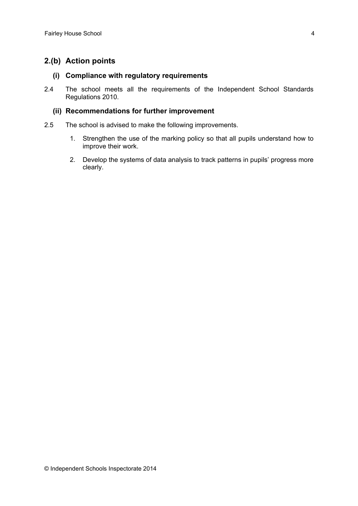## **2.(b) Action points**

#### **(i) Compliance with regulatory requirements**

2.4 The school meets all the requirements of the Independent School Standards Regulations 2010.

#### **(ii) Recommendations for further improvement**

- 2.5 The school is advised to make the following improvements.
	- 1. Strengthen the use of the marking policy so that all pupils understand how to improve their work.
	- 2. Develop the systems of data analysis to track patterns in pupils' progress more clearly.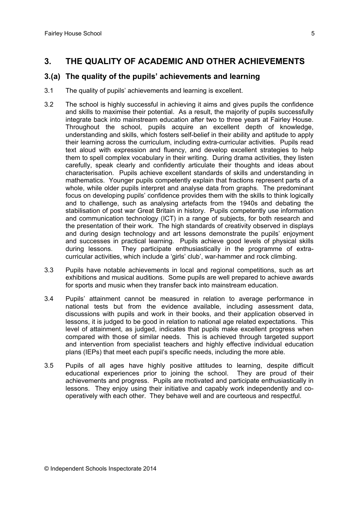# **3. THE QUALITY OF ACADEMIC AND OTHER ACHIEVEMENTS**

## **3.(a) The quality of the pupils' achievements and learning**

- 3.1 The quality of pupils' achievements and learning is excellent.
- 3.2 The school is highly successful in achieving it aims and gives pupils the confidence and skills to maximise their potential. As a result, the majority of pupils successfully integrate back into mainstream education after two to three years at Fairley House. Throughout the school, pupils acquire an excellent depth of knowledge, understanding and skills, which fosters self-belief in their ability and aptitude to apply their learning across the curriculum, including extra-curricular activities. Pupils read text aloud with expression and fluency, and develop excellent strategies to help them to spell complex vocabulary in their writing. During drama activities, they listen carefully, speak clearly and confidently articulate their thoughts and ideas about characterisation. Pupils achieve excellent standards of skills and understanding in mathematics. Younger pupils competently explain that fractions represent parts of a whole, while older pupils interpret and analyse data from graphs. The predominant focus on developing pupils' confidence provides them with the skills to think logically and to challenge, such as analysing artefacts from the 1940s and debating the stabilisation of post war Great Britain in history. Pupils competently use information and communication technology (ICT) in a range of subjects, for both research and the presentation of their work. The high standards of creativity observed in displays and during design technology and art lessons demonstrate the pupils' enjoyment and successes in practical learning. Pupils achieve good levels of physical skills during lessons. They participate enthusiastically in the programme of extracurricular activities, which include a 'girls' club', war-hammer and rock climbing.
- 3.3 Pupils have notable achievements in local and regional competitions, such as art exhibitions and musical auditions. Some pupils are well prepared to achieve awards for sports and music when they transfer back into mainstream education.
- 3.4 Pupils' attainment cannot be measured in relation to average performance in national tests but from the evidence available, including assessment data, discussions with pupils and work in their books, and their application observed in lessons, it is judged to be good in relation to national age related expectations. This level of attainment, as judged, indicates that pupils make excellent progress when compared with those of similar needs. This is achieved through targeted support and intervention from specialist teachers and highly effective individual education plans (IEPs) that meet each pupil's specific needs, including the more able.
- 3.5 Pupils of all ages have highly positive attitudes to learning, despite difficult educational experiences prior to joining the school. They are proud of their achievements and progress. Pupils are motivated and participate enthusiastically in lessons. They enjoy using their initiative and capably work independently and cooperatively with each other. They behave well and are courteous and respectful.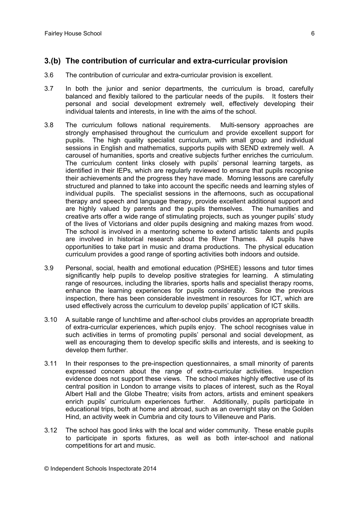## **3.(b) The contribution of curricular and extra-curricular provision**

- 3.6 The contribution of curricular and extra-curricular provision is excellent.
- 3.7 In both the junior and senior departments, the curriculum is broad, carefully balanced and flexibly tailored to the particular needs of the pupils. It fosters their personal and social development extremely well, effectively developing their individual talents and interests, in line with the aims of the school.
- 3.8 The curriculum follows national requirements. Multi-sensory approaches are strongly emphasised throughout the curriculum and provide excellent support for pupils. The high quality specialist curriculum, with small group and individual sessions in English and mathematics, supports pupils with SEND extremely well. A carousel of humanities, sports and creative subjects further enriches the curriculum. The curriculum content links closely with pupils' personal learning targets, as identified in their IEPs, which are regularly reviewed to ensure that pupils recognise their achievements and the progress they have made. Morning lessons are carefully structured and planned to take into account the specific needs and learning styles of individual pupils. The specialist sessions in the afternoons, such as occupational therapy and speech and language therapy, provide excellent additional support and are highly valued by parents and the pupils themselves. The humanities and creative arts offer a wide range of stimulating projects, such as younger pupils' study of the lives of Victorians and older pupils designing and making mazes from wood. The school is involved in a mentoring scheme to extend artistic talents and pupils are involved in historical research about the River Thames. All pupils have opportunities to take part in music and drama productions. The physical education curriculum provides a good range of sporting activities both indoors and outside.
- 3.9 Personal, social, health and emotional education (PSHEE) lessons and tutor times significantly help pupils to develop positive strategies for learning. A stimulating range of resources, including the libraries, sports halls and specialist therapy rooms, enhance the learning experiences for pupils considerably. Since the previous inspection, there has been considerable investment in resources for ICT, which are used effectively across the curriculum to develop pupils' application of ICT skills.
- 3.10 A suitable range of lunchtime and after-school clubs provides an appropriate breadth of extra-curricular experiences, which pupils enjoy. The school recognises value in such activities in terms of promoting pupils' personal and social development, as well as encouraging them to develop specific skills and interests, and is seeking to develop them further.
- 3.11 In their responses to the pre-inspection questionnaires, a small minority of parents expressed concern about the range of extra-curricular activities. Inspection evidence does not support these views. The school makes highly effective use of its central position in London to arrange visits to places of interest, such as the Royal Albert Hall and the Globe Theatre; visits from actors, artists and eminent speakers enrich pupils' curriculum experiences further. Additionally, pupils participate in educational trips, both at home and abroad, such as an overnight stay on the Golden Hind, an activity week in Cumbria and city tours to Villeneuve and Paris.
- 3.12 The school has good links with the local and wider community. These enable pupils to participate in sports fixtures, as well as both inter-school and national competitions for art and music.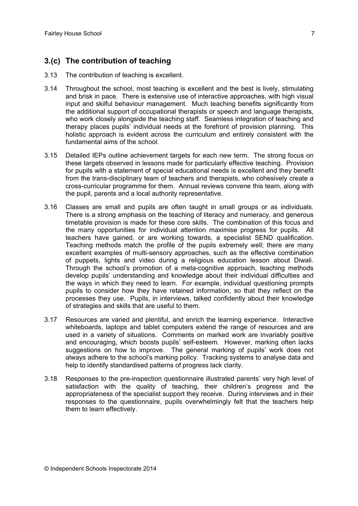## **3.(c) The contribution of teaching**

- 3.13 The contribution of teaching is excellent.
- 3.14 Throughout the school, most teaching is excellent and the best is lively, stimulating and brisk in pace. There is extensive use of interactive approaches, with high visual input and skilful behaviour management. Much teaching benefits significantly from the additional support of occupational therapists or speech and language therapists, who work closely alongside the teaching staff. Seamless integration of teaching and therapy places pupils' individual needs at the forefront of provision planning. This holistic approach is evident across the curriculum and entirely consistent with the fundamental aims of the school.
- 3.15 Detailed IEPs outline achievement targets for each new term. The strong focus on these targets observed in lessons made for particularly effective teaching. Provision for pupils with a statement of special educational needs is excellent and they benefit from the trans-disciplinary team of teachers and therapists, who cohesively create a cross-curricular programme for them. Annual reviews convene this team, along with the pupil, parents and a local authority representative.
- 3.16 Classes are small and pupils are often taught in small groups or as individuals. There is a strong emphasis on the teaching of literacy and numeracy, and generous timetable provision is made for these core skills. The combination of this focus and the many opportunities for individual attention maximise progress for pupils. All teachers have gained, or are working towards, a specialist SEND qualification. Teaching methods match the profile of the pupils extremely well; there are many excellent examples of multi-sensory approaches, such as the effective combination of puppets, lights and video during a religious education lesson about Diwali. Through the school's promotion of a meta-cognitive approach, teaching methods develop pupils' understanding and knowledge about their individual difficulties and the ways in which they need to learn. For example, individual questioning prompts pupils to consider how they have retained information, so that they reflect on the processes they use. Pupils, in interviews, talked confidently about their knowledge of strategies and skills that are useful to them.
- 3.17 Resources are varied and plentiful, and enrich the learning experience. Interactive whiteboards, laptops and tablet computers extend the range of resources and are used in a variety of situations. Comments on marked work are invariably positive and encouraging, which boosts pupils' self-esteem. However, marking often lacks suggestions on how to improve. The general marking of pupils' work does not always adhere to the school's marking policy. Tracking systems to analyse data and help to identify standardised patterns of progress lack clarity.
- 3.18 Responses to the pre-inspection questionnaire illustrated parents' very high level of satisfaction with the quality of teaching, their children's progress and the appropriateness of the specialist support they receive. During interviews and in their responses to the questionnaire, pupils overwhelmingly felt that the teachers help them to learn effectively.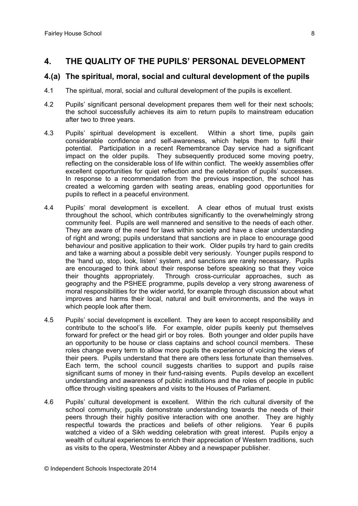## **4. THE QUALITY OF THE PUPILS' PERSONAL DEVELOPMENT**

#### **4.(a) The spiritual, moral, social and cultural development of the pupils**

- 4.1 The spiritual, moral, social and cultural development of the pupils is excellent.
- 4.2 Pupils' significant personal development prepares them well for their next schools; the school successfully achieves its aim to return pupils to mainstream education after two to three years.
- 4.3 Pupils' spiritual development is excellent. Within a short time, pupils gain considerable confidence and self-awareness, which helps them to fulfil their potential. Participation in a recent Remembrance Day service had a significant impact on the older pupils. They subsequently produced some moving poetry, reflecting on the considerable loss of life within conflict. The weekly assemblies offer excellent opportunities for quiet reflection and the celebration of pupils' successes. In response to a recommendation from the previous inspection, the school has created a welcoming garden with seating areas, enabling good opportunities for pupils to reflect in a peaceful environment.
- 4.4 Pupils' moral development is excellent. A clear ethos of mutual trust exists throughout the school, which contributes significantly to the overwhelmingly strong community feel. Pupils are well mannered and sensitive to the needs of each other. They are aware of the need for laws within society and have a clear understanding of right and wrong; pupils understand that sanctions are in place to encourage good behaviour and positive application to their work. Older pupils try hard to gain credits and take a warning about a possible debit very seriously. Younger pupils respond to the 'hand up, stop, look, listen' system, and sanctions are rarely necessary. Pupils are encouraged to think about their response before speaking so that they voice their thoughts appropriately. Through cross-curricular approaches, such as geography and the PSHEE programme, pupils develop a very strong awareness of moral responsibilities for the wider world, for example through discussion about what improves and harms their local, natural and built environments, and the ways in which people look after them.
- 4.5 Pupils' social development is excellent. They are keen to accept responsibility and contribute to the school's life. For example, older pupils keenly put themselves forward for prefect or the head girl or boy roles. Both younger and older pupils have an opportunity to be house or class captains and school council members. These roles change every term to allow more pupils the experience of voicing the views of their peers. Pupils understand that there are others less fortunate than themselves. Each term, the school council suggests charities to support and pupils raise significant sums of money in their fund-raising events. Pupils develop an excellent understanding and awareness of public institutions and the roles of people in public office through visiting speakers and visits to the Houses of Parliament.
- 4.6 Pupils' cultural development is excellent. Within the rich cultural diversity of the school community, pupils demonstrate understanding towards the needs of their peers through their highly positive interaction with one another. They are highly respectful towards the practices and beliefs of other religions. Year 6 pupils watched a video of a Sikh wedding celebration with great interest. Pupils enjoy a wealth of cultural experiences to enrich their appreciation of Western traditions, such as visits to the opera, Westminster Abbey and a newspaper publisher.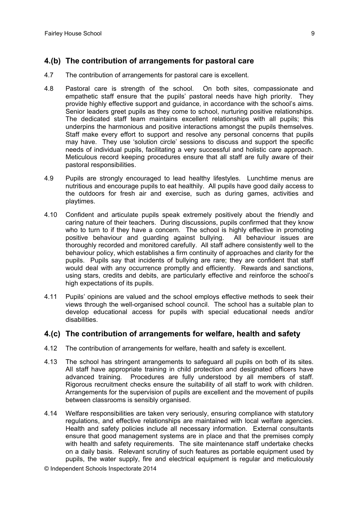## **4.(b) The contribution of arrangements for pastoral care**

- 4.7 The contribution of arrangements for pastoral care is excellent.
- 4.8 Pastoral care is strength of the school. On both sites, compassionate and empathetic staff ensure that the pupils' pastoral needs have high priority. They provide highly effective support and guidance, in accordance with the school's aims. Senior leaders greet pupils as they come to school, nurturing positive relationships. The dedicated staff team maintains excellent relationships with all pupils; this underpins the harmonious and positive interactions amongst the pupils themselves. Staff make every effort to support and resolve any personal concerns that pupils may have. They use 'solution circle' sessions to discuss and support the specific needs of individual pupils, facilitating a very successful and holistic care approach. Meticulous record keeping procedures ensure that all staff are fully aware of their pastoral responsibilities.
- 4.9 Pupils are strongly encouraged to lead healthy lifestyles. Lunchtime menus are nutritious and encourage pupils to eat healthily. All pupils have good daily access to the outdoors for fresh air and exercise, such as during games, activities and playtimes.
- 4.10 Confident and articulate pupils speak extremely positively about the friendly and caring nature of their teachers. During discussions, pupils confirmed that they know who to turn to if they have a concern. The school is highly effective in promoting positive behaviour and guarding against bullying. All behaviour issues are thoroughly recorded and monitored carefully. All staff adhere consistently well to the behaviour policy, which establishes a firm continuity of approaches and clarity for the pupils. Pupils say that incidents of bullying are rare; they are confident that staff would deal with any occurrence promptly and efficiently. Rewards and sanctions, using stars, credits and debits, are particularly effective and reinforce the school's high expectations of its pupils.
- 4.11 Pupils' opinions are valued and the school employs effective methods to seek their views through the well-organised school council. The school has a suitable plan to develop educational access for pupils with special educational needs and/or disabilities.

#### **4.(c) The contribution of arrangements for welfare, health and safety**

- 4.12 The contribution of arrangements for welfare, health and safety is excellent.
- 4.13 The school has stringent arrangements to safeguard all pupils on both of its sites. All staff have appropriate training in child protection and designated officers have advanced training. Procedures are fully understood by all members of staff. Rigorous recruitment checks ensure the suitability of all staff to work with children. Arrangements for the supervision of pupils are excellent and the movement of pupils between classrooms is sensibly organised.
- 4.14 Welfare responsibilities are taken very seriously, ensuring compliance with statutory regulations, and effective relationships are maintained with local welfare agencies. Health and safety policies include all necessary information. External consultants ensure that good management systems are in place and that the premises comply with health and safety requirements. The site maintenance staff undertake checks on a daily basis. Relevant scrutiny of such features as portable equipment used by pupils, the water supply, fire and electrical equipment is regular and meticulously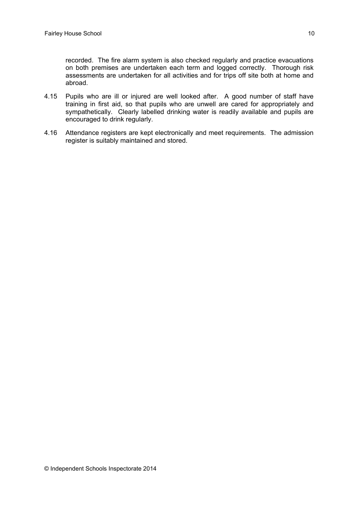recorded. The fire alarm system is also checked regularly and practice evacuations on both premises are undertaken each term and logged correctly. Thorough risk assessments are undertaken for all activities and for trips off site both at home and abroad.

- 4.15 Pupils who are ill or injured are well looked after. A good number of staff have training in first aid, so that pupils who are unwell are cared for appropriately and sympathetically. Clearly labelled drinking water is readily available and pupils are encouraged to drink regularly.
- 4.16 Attendance registers are kept electronically and meet requirements. The admission register is suitably maintained and stored.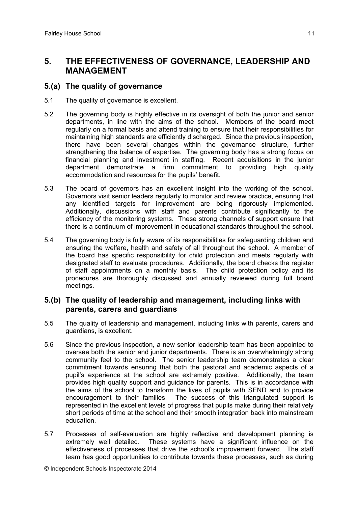## **5. THE EFFECTIVENESS OF GOVERNANCE, LEADERSHIP AND MANAGEMENT**

### **5.(a) The quality of governance**

- 5.1 The quality of governance is excellent.
- 5.2 The governing body is highly effective in its oversight of both the junior and senior departments, in line with the aims of the school. Members of the board meet regularly on a formal basis and attend training to ensure that their responsibilities for maintaining high standards are efficiently discharged. Since the previous inspection, there have been several changes within the governance structure, further strengthening the balance of expertise. The governing body has a strong focus on financial planning and investment in staffing. Recent acquisitions in the junior department demonstrate a firm commitment to providing high quality accommodation and resources for the pupils' benefit.
- 5.3 The board of governors has an excellent insight into the working of the school. Governors visit senior leaders regularly to monitor and review practice, ensuring that any identified targets for improvement are being rigorously implemented. Additionally, discussions with staff and parents contribute significantly to the efficiency of the monitoring systems. These strong channels of support ensure that there is a continuum of improvement in educational standards throughout the school.
- 5.4 The governing body is fully aware of its responsibilities for safeguarding children and ensuring the welfare, health and safety of all throughout the school. A member of the board has specific responsibility for child protection and meets regularly with designated staff to evaluate procedures. Additionally, the board checks the register of staff appointments on a monthly basis. The child protection policy and its procedures are thoroughly discussed and annually reviewed during full board meetings.

## **5.(b) The quality of leadership and management, including links with parents, carers and guardians**

- 5.5 The quality of leadership and management, including links with parents, carers and guardians, is excellent.
- 5.6 Since the previous inspection, a new senior leadership team has been appointed to oversee both the senior and junior departments. There is an overwhelmingly strong community feel to the school. The senior leadership team demonstrates a clear commitment towards ensuring that both the pastoral and academic aspects of a pupil's experience at the school are extremely positive. Additionally, the team provides high quality support and guidance for parents. This is in accordance with the aims of the school to transform the lives of pupils with SEND and to provide encouragement to their families. The success of this triangulated support is represented in the excellent levels of progress that pupils make during their relatively short periods of time at the school and their smooth integration back into mainstream education.
- 5.7 Processes of self-evaluation are highly reflective and development planning is extremely well detailed. These systems have a significant influence on the effectiveness of processes that drive the school's improvement forward. The staff team has good opportunities to contribute towards these processes, such as during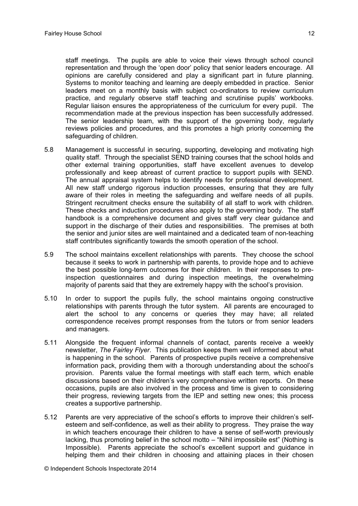staff meetings. The pupils are able to voice their views through school council representation and through the 'open door' policy that senior leaders encourage. All opinions are carefully considered and play a significant part in future planning. Systems to monitor teaching and learning are deeply embedded in practice. Senior leaders meet on a monthly basis with subject co-ordinators to review curriculum practice, and regularly observe staff teaching and scrutinise pupils' workbooks. Regular liaison ensures the appropriateness of the curriculum for every pupil. The recommendation made at the previous inspection has been successfully addressed. The senior leadership team, with the support of the governing body, regularly reviews policies and procedures, and this promotes a high priority concerning the safeguarding of children.

- 5.8 Management is successful in securing, supporting, developing and motivating high quality staff. Through the specialist SEND training courses that the school holds and other external training opportunities, staff have excellent avenues to develop professionally and keep abreast of current practice to support pupils with SEND. The annual appraisal system helps to identify needs for professional development. All new staff undergo rigorous induction processes, ensuring that they are fully aware of their roles in meeting the safeguarding and welfare needs of all pupils. Stringent recruitment checks ensure the suitability of all staff to work with children. These checks and induction procedures also apply to the governing body. The staff handbook is a comprehensive document and gives staff very clear guidance and support in the discharge of their duties and responsibilities. The premises at both the senior and junior sites are well maintained and a dedicated team of non-teaching staff contributes significantly towards the smooth operation of the school.
- 5.9 The school maintains excellent relationships with parents. They choose the school because it seeks to work in partnership with parents, to provide hope and to achieve the best possible long-term outcomes for their children. In their responses to preinspection questionnaires and during inspection meetings, the overwhelming majority of parents said that they are extremely happy with the school's provision.
- 5.10 In order to support the pupils fully, the school maintains ongoing constructive relationships with parents through the tutor system. All parents are encouraged to alert the school to any concerns or queries they may have; all related correspondence receives prompt responses from the tutors or from senior leaders and managers.
- 5.11 Alongside the frequent informal channels of contact, parents receive a weekly newsletter, *The Fairley Flyer*. This publication keeps them well informed about what is happening in the school. Parents of prospective pupils receive a comprehensive information pack, providing them with a thorough understanding about the school's provision. Parents value the formal meetings with staff each term, which enable discussions based on their children's very comprehensive written reports. On these occasions, pupils are also involved in the process and time is given to considering their progress, reviewing targets from the IEP and setting new ones; this process creates a supportive partnership.
- 5.12 Parents are very appreciative of the school's efforts to improve their children's selfesteem and self-confidence, as well as their ability to progress. They praise the way in which teachers encourage their children to have a sense of self-worth previously lacking, thus promoting belief in the school motto – "Nihil impossibile est" (Nothing is Impossible). Parents appreciate the school's excellent support and guidance in helping them and their children in choosing and attaining places in their chosen